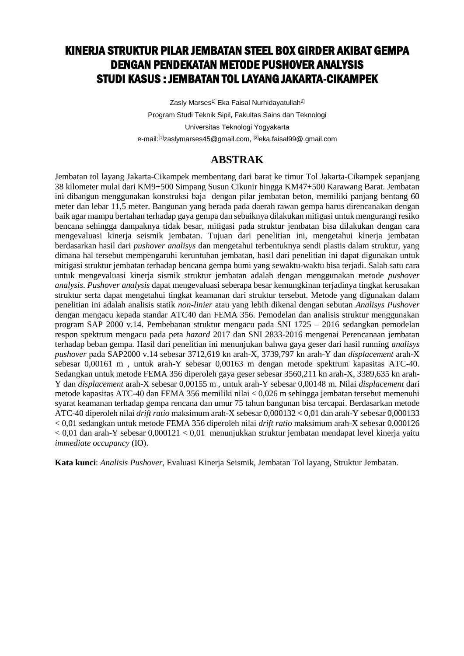## KINERJA STRUKTUR PILAR JEMBATAN STEEL BOX GIRDER AKIBAT GEMPA DENGAN PENDEKATAN METODE PUSHOVER ANALYSIS STUDI KASUS : JEMBATAN TOL LAYANG JAKARTA-CIKAMPEK

Zasly Marses<sup>1]</sup> Eka Faisal Nurhidayatullah<sup>2]</sup> Program Studi Teknik Sipil, Fakultas Sains dan Teknologi Universitas Teknologi Yogyakarta e-mail:[1]zaslymarses45@gmail.com, [2]eka.faisal99@ gmail.com

## **ABSTRAK**

Jembatan tol layang Jakarta-Cikampek membentang dari barat ke timur Tol Jakarta-Cikampek sepanjang 38 kilometer mulai dari KM9+500 Simpang Susun Cikunir hingga KM47+500 Karawang Barat. Jembatan ini dibangun menggunakan konstruksi baja dengan pilar jembatan beton, memiliki panjang bentang 60 meter dan lebar 11,5 meter. Bangunan yang berada pada daerah rawan gempa harus direncanakan dengan baik agar mampu bertahan terhadap gaya gempa dan sebaiknya dilakukan mitigasi untuk mengurangi resiko bencana sehingga dampaknya tidak besar, mitigasi pada struktur jembatan bisa dilakukan dengan cara mengevaluasi kinerja seismik jembatan. Tujuan dari penelitian ini, mengetahui kinerja jembatan berdasarkan hasil dari *pushover analisys* dan mengetahui terbentuknya sendi plastis dalam struktur, yang dimana hal tersebut mempengaruhi keruntuhan jembatan, hasil dari penelitian ini dapat digunakan untuk mitigasi struktur jembatan terhadap bencana gempa bumi yang sewaktu-waktu bisa terjadi. Salah satu cara untuk mengevaluasi kinerja sismik struktur jembatan adalah dengan menggunakan metode *pushover analysis*. *Pushover analysis* dapat mengevaluasi seberapa besar kemungkinan terjadinya tingkat kerusakan struktur serta dapat mengetahui tingkat keamanan dari struktur tersebut. Metode yang digunakan dalam penelitian ini adalah analisis statik *non-linier* atau yang lebih dikenal dengan sebutan *Analisys Pushover* dengan mengacu kepada standar ATC40 dan FEMA 356. Pemodelan dan analisis struktur menggunakan program SAP 2000 v.14. Pembebanan struktur mengacu pada SNI 1725 – 2016 sedangkan pemodelan respon spektrum mengacu pada peta *hazard* 2017 dan SNI 2833-2016 mengenai Perencanaan jembatan terhadap beban gempa. Hasil dari penelitian ini menunjukan bahwa gaya geser dari hasil running *analisys pushover* pada SAP2000 v.14 sebesar 3712,619 kn arah-X, 3739,797 kn arah-Y dan *displacement* arah-X sebesar 0,00161 m , untuk arah-Y sebesar 0,00163 m dengan metode spektrum kapasitas ATC-40. Sedangkan untuk metode FEMA 356 diperoleh gaya geser sebesar 3560,211 kn arah-X, 3389,635 kn arah-Y dan *displacement* arah-X sebesar 0,00155 m , untuk arah-Y sebesar 0,00148 m. Nilai *displacement* dari metode kapasitas ATC-40 dan FEMA 356 memiliki nilai < 0,026 m sehingga jembatan tersebut memenuhi syarat keamanan terhadap gempa rencana dan umur 75 tahun bangunan bisa tercapai. Berdasarkan metode ATC-40 diperoleh nilai *drift ratio* maksimum arah-X sebesar 0,000132 < 0,01 dan arah-Y sebesar 0,000133 < 0,01 sedangkan untuk metode FEMA 356 diperoleh nilai *drift ratio* maksimum arah-X sebesar 0,000126  $< 0.01$  dan arah-Y sebesar  $0.000121 < 0.01$  menunjukkan struktur jembatan mendapat level kinerja yaitu *immediate occupancy* (IO).

**Kata kunci**: *Analisis Pushover*, Evaluasi Kinerja Seismik, Jembatan Tol layang, Struktur Jembatan.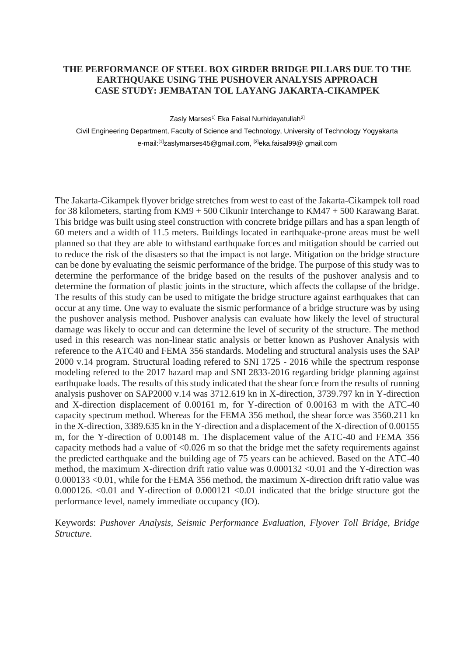## **THE PERFORMANCE OF STEEL BOX GIRDER BRIDGE PILLARS DUE TO THE EARTHQUAKE USING THE PUSHOVER ANALYSIS APPROACH CASE STUDY: JEMBATAN TOL LAYANG JAKARTA-CIKAMPEK**

Zasly Marses<sup>1]</sup> Eka Faisal Nurhidayatullah<sup>2]</sup>

Civil Engineering Department, Faculty of Science and Technology, University of Technology Yogyakarta e-mail:[1]zaslymarses45@gmail.com, [2]eka.faisal99@ gmail.com

The Jakarta-Cikampek flyover bridge stretches from west to east of the Jakarta-Cikampek toll road for 38 kilometers, starting from KM9 + 500 Cikunir Interchange to KM47 + 500 Karawang Barat. This bridge was built using steel construction with concrete bridge pillars and has a span length of 60 meters and a width of 11.5 meters. Buildings located in earthquake-prone areas must be well planned so that they are able to withstand earthquake forces and mitigation should be carried out to reduce the risk of the disasters so that the impact is not large. Mitigation on the bridge structure can be done by evaluating the seismic performance of the bridge. The purpose of this study was to determine the performance of the bridge based on the results of the pushover analysis and to determine the formation of plastic joints in the structure, which affects the collapse of the bridge. The results of this study can be used to mitigate the bridge structure against earthquakes that can occur at any time. One way to evaluate the sismic performance of a bridge structure was by using the pushover analysis method. Pushover analysis can evaluate how likely the level of structural damage was likely to occur and can determine the level of security of the structure. The method used in this research was non-linear static analysis or better known as Pushover Analysis with reference to the ATC40 and FEMA 356 standards. Modeling and structural analysis uses the SAP 2000 v.14 program. Structural loading refered to SNI 1725 - 2016 while the spectrum response modeling refered to the 2017 hazard map and SNI 2833-2016 regarding bridge planning against earthquake loads. The results of this study indicated that the shear force from the results of running analysis pushover on SAP2000 v.14 was 3712.619 kn in X-direction, 3739.797 kn in Y-direction and X-direction displacement of 0.00161 m, for Y-direction of 0.00163 m with the ATC-40 capacity spectrum method. Whereas for the FEMA 356 method, the shear force was 3560.211 kn in the X-direction, 3389.635 kn in the Y-direction and a displacement of the X-direction of 0.00155 m, for the Y-direction of 0.00148 m. The displacement value of the ATC-40 and FEMA 356 capacity methods had a value of  $\leq 0.026$  m so that the bridge met the safety requirements against the predicted earthquake and the building age of 75 years can be achieved. Based on the ATC-40 method, the maximum X-direction drift ratio value was 0.000132 <0.01 and the Y-direction was 0.000133 <0.01, while for the FEMA 356 method, the maximum X-direction drift ratio value was 0.000126.  $\leq 0.01$  and Y-direction of 0.000121  $\leq 0.01$  indicated that the bridge structure got the performance level, namely immediate occupancy (IO).

Keywords: *Pushover Analysis, Seismic Performance Evaluation, Flyover Toll Bridge, Bridge Structure.*